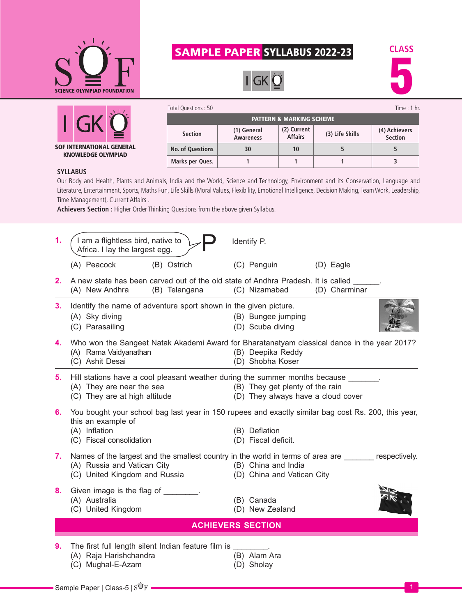

SOF INTERNATIONAL GENERAL KNOWLEDGE OLYMPIAD

## SAMPLE PAPER SYLLABUS 2022-23

 $IGKQ$ 



| Total Questions: 50                 |                                 |                               |                 | Time : $1$ hr.           |  |  |
|-------------------------------------|---------------------------------|-------------------------------|-----------------|--------------------------|--|--|
| <b>PATTERN &amp; MARKING SCHEME</b> |                                 |                               |                 |                          |  |  |
| <b>Section</b>                      | (1) General<br><b>Awareness</b> | (2) Current<br><b>Affairs</b> | (3) Life Skills | (4) Achievers<br>Section |  |  |
| <b>No. of Questions</b>             | 30                              | 10                            |                 |                          |  |  |
| Marks per Ques.                     |                                 |                               |                 |                          |  |  |

## **SYLLABUS**

Our Body and Health, Plants and Animals, India and the World, Science and Technology, Environment and its Conservation, Language and Literature, Entertainment, Sports, Maths Fun, Life Skills (Moral Values, Flexibility, Emotional Intelligence, Decision Making, Team Work, Leadership, Time Management), Current Affairs .

**Achievers Section :** Higher Order Thinking Questions from the above given Syllabus.

| 1. | I am a flightless bird, native to<br>Africa. I lay the largest egg.                                                                                                                               |  | Identify P.                                                              |               |  |  |
|----|---------------------------------------------------------------------------------------------------------------------------------------------------------------------------------------------------|--|--------------------------------------------------------------------------|---------------|--|--|
|    | (A) Peacock<br>(B) Ostrich                                                                                                                                                                        |  | (C) Penguin                                                              | (D) Eagle     |  |  |
|    | 2. A new state has been carved out of the old state of Andhra Pradesh. It is called<br>(A) New Andhra<br>(B) Telangana                                                                            |  | (C) Nizamabad                                                            | (D) Charminar |  |  |
| 3. | Identify the name of adventure sport shown in the given picture.<br>(A) Sky diving<br>(C) Parasailing                                                                                             |  | (B) Bungee jumping<br>(D) Scuba diving                                   |               |  |  |
| 4. | Who won the Sangeet Natak Akademi Award for Bharatanatyam classical dance in the year 2017?<br>(A) Rama Vaidyanathan<br>(C) Ashit Desai                                                           |  | (B) Deepika Reddy<br>(D) Shobha Koser                                    |               |  |  |
| 5. | Hill stations have a cool pleasant weather during the summer months because ______.<br>(A) They are near the sea<br>(C) They are at high altitude                                                 |  | (B) They get plenty of the rain<br>(D) They always have a cloud cover    |               |  |  |
| 6. | You bought your school bag last year in 150 rupees and exactly similar bag cost Rs. 200, this year,<br>this an example of<br>(A) Inflation<br>(B) Deflation                                       |  |                                                                          |               |  |  |
| 7. | (C) Fiscal consolidation<br>Names of the largest and the smallest country in the world in terms of area are _______ respectively.<br>(A) Russia and Vatican City<br>(C) United Kingdom and Russia |  | (D) Fiscal deficit.<br>(B) China and India<br>(D) China and Vatican City |               |  |  |
| 8. | Given image is the flag of<br>(A) Australia<br>(C) United Kingdom                                                                                                                                 |  | (B) Canada<br>(D) New Zealand                                            |               |  |  |
|    | <b>ACHIEVERS SECTION</b>                                                                                                                                                                          |  |                                                                          |               |  |  |
| 9. | The first full length silent Indian feature film is ________.<br>(A) Raja Harishchandra<br>(C) Mughal-E-Azam                                                                                      |  | (B) Alam Ara<br>(D) Sholay                                               |               |  |  |